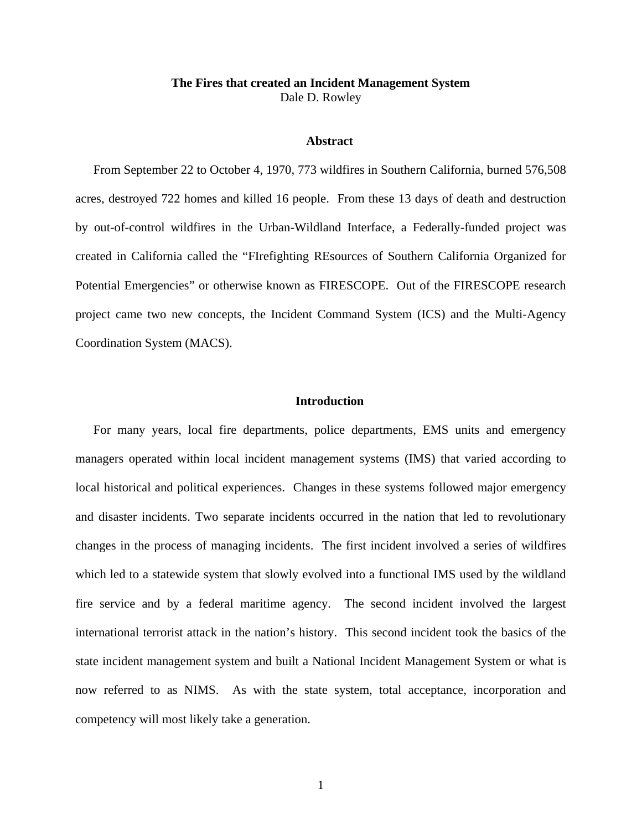# **The Fires that created an Incident Management System**  Dale D. Rowley

## **Abstract**

From September 22 to October 4, 1970, 773 wildfires in Southern California, burned 576,508 acres, destroyed 722 homes and killed 16 people. From these 13 days of death and destruction by out-of-control wildfires in the Urban-Wildland Interface, a Federally-funded project was created in California called the "FIrefighting REsources of Southern California Organized for Potential Emergencies" or otherwise known as FIRESCOPE. Out of the FIRESCOPE research project came two new concepts, the Incident Command System (ICS) and the Multi-Agency Coordination System (MACS).

## **Introduction**

For many years, local fire departments, police departments, EMS units and emergency managers operated within local incident management systems (IMS) that varied according to local historical and political experiences. Changes in these systems followed major emergency and disaster incidents. Two separate incidents occurred in the nation that led to revolutionary changes in the process of managing incidents. The first incident involved a series of wildfires which led to a statewide system that slowly evolved into a functional IMS used by the wildland fire service and by a federal maritime agency. The second incident involved the largest international terrorist attack in the nation's history. This second incident took the basics of the state incident management system and built a National Incident Management System or what is now referred to as NIMS. As with the state system, total acceptance, incorporation and competency will most likely take a generation.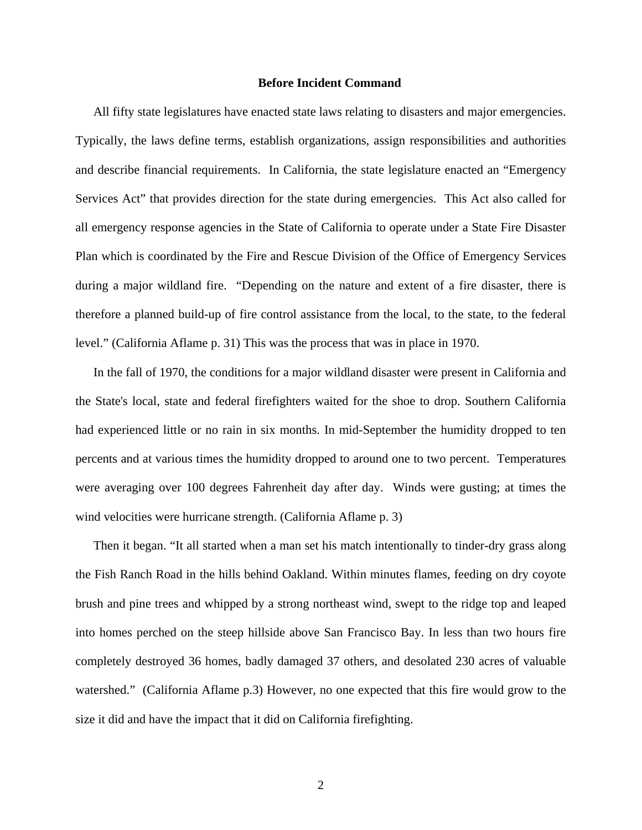## **Before Incident Command**

All fifty state legislatures have enacted state laws relating to disasters and major emergencies. Typically, the laws define terms, establish organizations, assign responsibilities and authorities and describe financial requirements. In California, the state legislature enacted an "Emergency Services Act" that provides direction for the state during emergencies. This Act also called for all emergency response agencies in the State of California to operate under a State Fire Disaster Plan which is coordinated by the Fire and Rescue Division of the Office of Emergency Services during a major wildland fire. "Depending on the nature and extent of a fire disaster, there is therefore a planned build-up of fire control assistance from the local, to the state, to the federal level." (California Aflame p. 31) This was the process that was in place in 1970.

In the fall of 1970, the conditions for a major wildland disaster were present in California and the State's local, state and federal firefighters waited for the shoe to drop. Southern California had experienced little or no rain in six months. In mid-September the humidity dropped to ten percents and at various times the humidity dropped to around one to two percent. Temperatures were averaging over 100 degrees Fahrenheit day after day. Winds were gusting; at times the wind velocities were hurricane strength. (California Aflame p. 3)

Then it began. "It all started when a man set his match intentionally to tinder-dry grass along the Fish Ranch Road in the hills behind Oakland. Within minutes flames, feeding on dry coyote brush and pine trees and whipped by a strong northeast wind, swept to the ridge top and leaped into homes perched on the steep hillside above San Francisco Bay. In less than two hours fire completely destroyed 36 homes, badly damaged 37 others, and desolated 230 acres of valuable watershed." (California Aflame p.3) However, no one expected that this fire would grow to the size it did and have the impact that it did on California firefighting.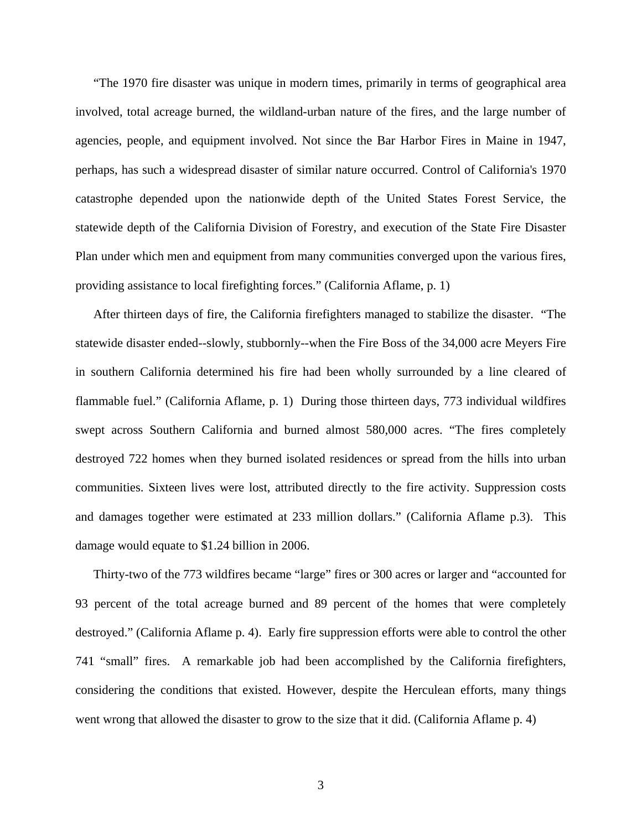"The 1970 fire disaster was unique in modern times, primarily in terms of geographical area involved, total acreage burned, the wildland-urban nature of the fires, and the large number of agencies, people, and equipment involved. Not since the Bar Harbor Fires in Maine in 1947, perhaps, has such a widespread disaster of similar nature occurred. Control of California's 1970 catastrophe depended upon the nationwide depth of the United States Forest Service, the statewide depth of the California Division of Forestry, and execution of the State Fire Disaster Plan under which men and equipment from many communities converged upon the various fires, providing assistance to local firefighting forces." (California Aflame, p. 1)

After thirteen days of fire, the California firefighters managed to stabilize the disaster. "The statewide disaster ended--slowly, stubbornly--when the Fire Boss of the 34,000 acre Meyers Fire in southern California determined his fire had been wholly surrounded by a line cleared of flammable fuel." (California Aflame, p. 1) During those thirteen days, 773 individual wildfires swept across Southern California and burned almost 580,000 acres. "The fires completely destroyed 722 homes when they burned isolated residences or spread from the hills into urban communities. Sixteen lives were lost, attributed directly to the fire activity. Suppression costs and damages together were estimated at 233 million dollars." (California Aflame p.3). This damage would equate to \$1.24 billion in 2006.

Thirty-two of the 773 wildfires became "large" fires or 300 acres or larger and "accounted for 93 percent of the total acreage burned and 89 percent of the homes that were completely destroyed." (California Aflame p. 4). Early fire suppression efforts were able to control the other 741 "small" fires. A remarkable job had been accomplished by the California firefighters, considering the conditions that existed. However, despite the Herculean efforts, many things went wrong that allowed the disaster to grow to the size that it did. (California Aflame p. 4)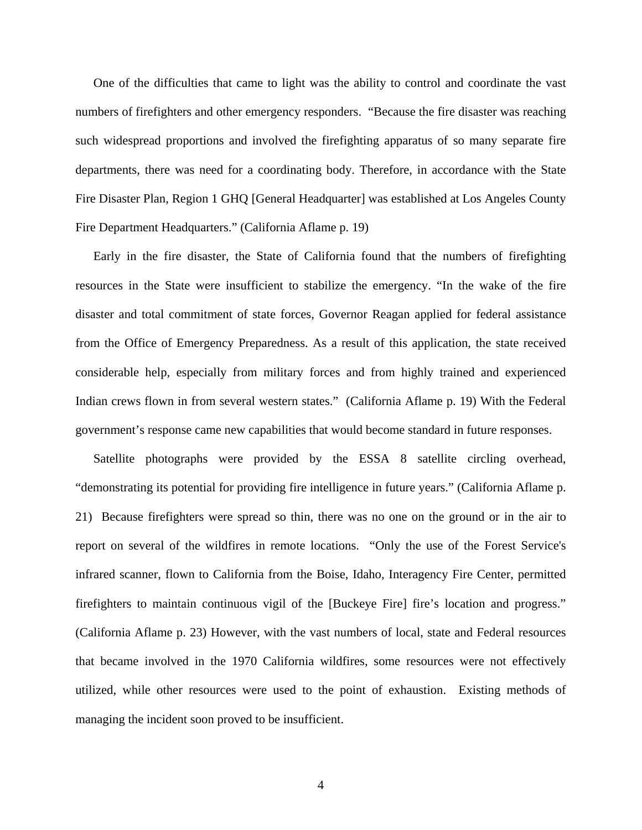One of the difficulties that came to light was the ability to control and coordinate the vast numbers of firefighters and other emergency responders. "Because the fire disaster was reaching such widespread proportions and involved the firefighting apparatus of so many separate fire departments, there was need for a coordinating body. Therefore, in accordance with the State Fire Disaster Plan, Region 1 GHQ [General Headquarter] was established at Los Angeles County Fire Department Headquarters." (California Aflame p. 19)

Early in the fire disaster, the State of California found that the numbers of firefighting resources in the State were insufficient to stabilize the emergency. "In the wake of the fire disaster and total commitment of state forces, Governor Reagan applied for federal assistance from the Office of Emergency Preparedness. As a result of this application, the state received considerable help, especially from military forces and from highly trained and experienced Indian crews flown in from several western states." (California Aflame p. 19) With the Federal government's response came new capabilities that would become standard in future responses.

Satellite photographs were provided by the ESSA 8 satellite circling overhead, "demonstrating its potential for providing fire intelligence in future years." (California Aflame p. 21) Because firefighters were spread so thin, there was no one on the ground or in the air to report on several of the wildfires in remote locations. "Only the use of the Forest Service's infrared scanner, flown to California from the Boise, Idaho, Interagency Fire Center, permitted firefighters to maintain continuous vigil of the [Buckeye Fire] fire's location and progress." (California Aflame p. 23) However, with the vast numbers of local, state and Federal resources that became involved in the 1970 California wildfires, some resources were not effectively utilized, while other resources were used to the point of exhaustion. Existing methods of managing the incident soon proved to be insufficient.

4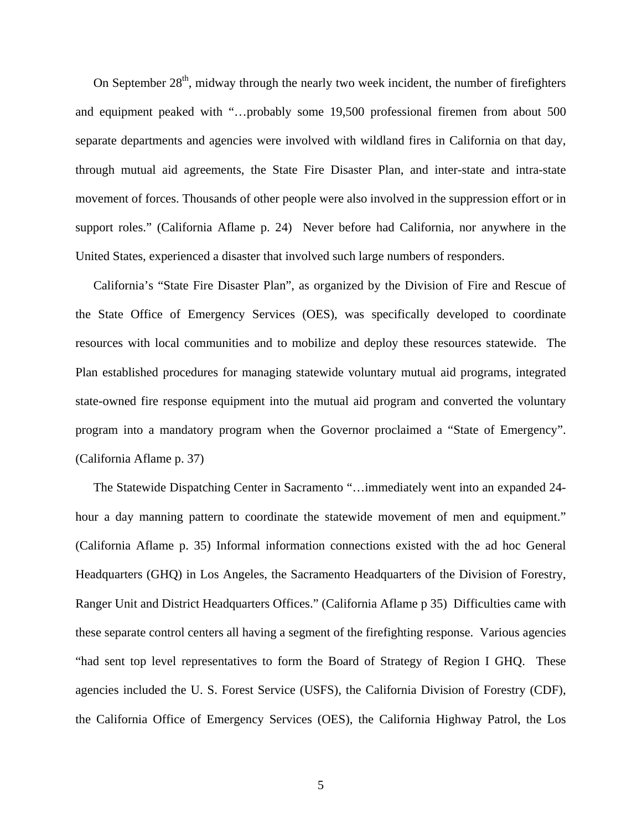On September  $28<sup>th</sup>$ , midway through the nearly two week incident, the number of firefighters and equipment peaked with "…probably some 19,500 professional firemen from about 500 separate departments and agencies were involved with wildland fires in California on that day, through mutual aid agreements, the State Fire Disaster Plan, and inter-state and intra-state movement of forces. Thousands of other people were also involved in the suppression effort or in support roles." (California Aflame p. 24) Never before had California, nor anywhere in the United States, experienced a disaster that involved such large numbers of responders.

California's "State Fire Disaster Plan", as organized by the Division of Fire and Rescue of the State Office of Emergency Services (OES), was specifically developed to coordinate resources with local communities and to mobilize and deploy these resources statewide. The Plan established procedures for managing statewide voluntary mutual aid programs, integrated state-owned fire response equipment into the mutual aid program and converted the voluntary program into a mandatory program when the Governor proclaimed a "State of Emergency". (California Aflame p. 37)

The Statewide Dispatching Center in Sacramento "…immediately went into an expanded 24 hour a day manning pattern to coordinate the statewide movement of men and equipment." (California Aflame p. 35) Informal information connections existed with the ad hoc General Headquarters (GHQ) in Los Angeles, the Sacramento Headquarters of the Division of Forestry, Ranger Unit and District Headquarters Offices." (California Aflame p 35) Difficulties came with these separate control centers all having a segment of the firefighting response. Various agencies "had sent top level representatives to form the Board of Strategy of Region I GHQ. These agencies included the U. S. Forest Service (USFS), the California Division of Forestry (CDF), the California Office of Emergency Services (OES), the California Highway Patrol, the Los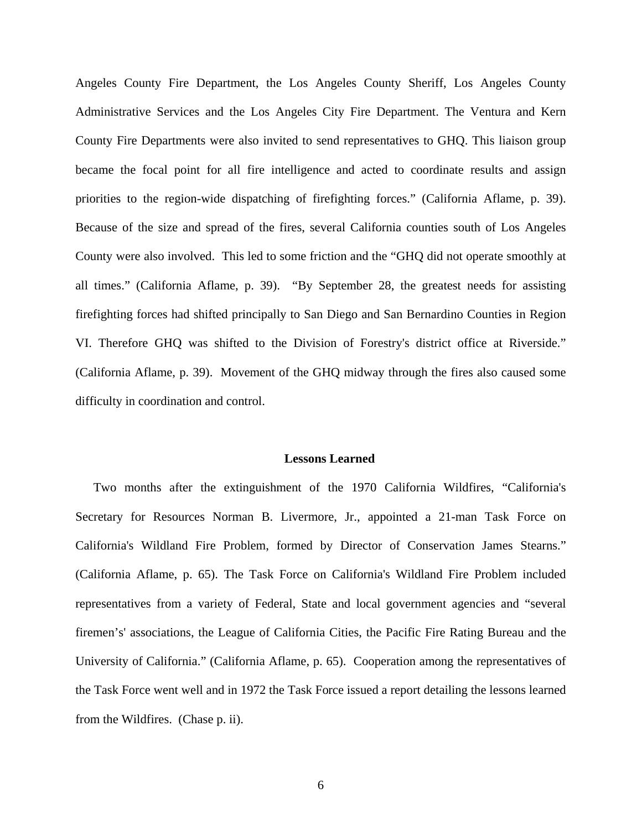Angeles County Fire Department, the Los Angeles County Sheriff, Los Angeles County Administrative Services and the Los Angeles City Fire Department. The Ventura and Kern County Fire Departments were also invited to send representatives to GHQ. This liaison group became the focal point for all fire intelligence and acted to coordinate results and assign priorities to the region-wide dispatching of firefighting forces." (California Aflame, p. 39). Because of the size and spread of the fires, several California counties south of Los Angeles County were also involved. This led to some friction and the "GHQ did not operate smoothly at all times." (California Aflame, p. 39). "By September 28, the greatest needs for assisting firefighting forces had shifted principally to San Diego and San Bernardino Counties in Region VI. Therefore GHQ was shifted to the Division of Forestry's district office at Riverside." (California Aflame, p. 39). Movement of the GHQ midway through the fires also caused some difficulty in coordination and control.

### **Lessons Learned**

Two months after the extinguishment of the 1970 California Wildfires, "California's Secretary for Resources Norman B. Livermore, Jr., appointed a 21-man Task Force on California's Wildland Fire Problem, formed by Director of Conservation James Stearns." (California Aflame, p. 65). The Task Force on California's Wildland Fire Problem included representatives from a variety of Federal, State and local government agencies and "several firemen's' associations, the League of California Cities, the Pacific Fire Rating Bureau and the University of California." (California Aflame, p. 65). Cooperation among the representatives of the Task Force went well and in 1972 the Task Force issued a report detailing the lessons learned from the Wildfires. (Chase p. ii).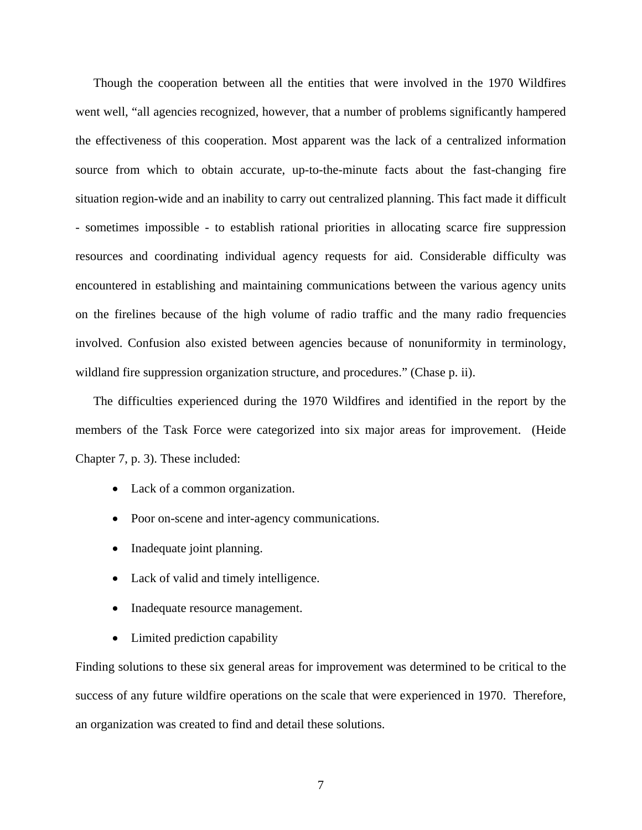Though the cooperation between all the entities that were involved in the 1970 Wildfires went well, "all agencies recognized, however, that a number of problems significantly hampered the effectiveness of this cooperation. Most apparent was the lack of a centralized information source from which to obtain accurate, up-to-the-minute facts about the fast-changing fire situation region-wide and an inability to carry out centralized planning. This fact made it difficult - sometimes impossible - to establish rational priorities in allocating scarce fire suppression resources and coordinating individual agency requests for aid. Considerable difficulty was encountered in establishing and maintaining communications between the various agency units on the firelines because of the high volume of radio traffic and the many radio frequencies involved. Confusion also existed between agencies because of nonuniformity in terminology, wildland fire suppression organization structure, and procedures." (Chase p. ii).

The difficulties experienced during the 1970 Wildfires and identified in the report by the members of the Task Force were categorized into six major areas for improvement. (Heide Chapter 7, p. 3). These included:

- Lack of a common organization.
- Poor on-scene and inter-agency communications.
- Inadequate joint planning.
- Lack of valid and timely intelligence.
- Inadequate resource management.
- Limited prediction capability

Finding solutions to these six general areas for improvement was determined to be critical to the success of any future wildfire operations on the scale that were experienced in 1970. Therefore, an organization was created to find and detail these solutions.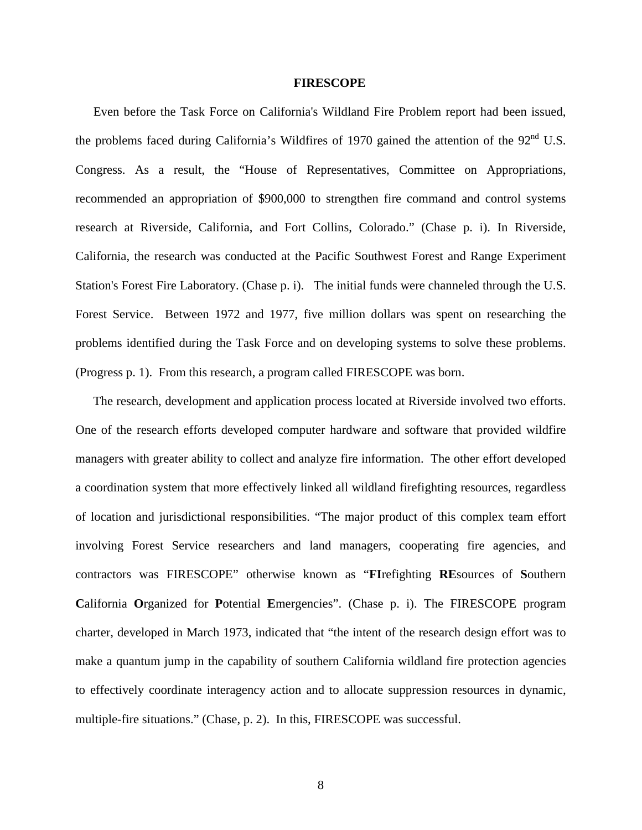## **FIRESCOPE**

Even before the Task Force on California's Wildland Fire Problem report had been issued, the problems faced during California's Wildfires of 1970 gained the attention of the 92<sup>nd</sup> U.S. Congress. As a result, the "House of Representatives, Committee on Appropriations, recommended an appropriation of \$900,000 to strengthen fire command and control systems research at Riverside, California, and Fort Collins, Colorado." (Chase p. i). In Riverside, California, the research was conducted at the Pacific Southwest Forest and Range Experiment Station's Forest Fire Laboratory. (Chase p. i). The initial funds were channeled through the U.S. Forest Service. Between 1972 and 1977, five million dollars was spent on researching the problems identified during the Task Force and on developing systems to solve these problems. (Progress p. 1). From this research, a program called FIRESCOPE was born.

The research, development and application process located at Riverside involved two efforts. One of the research efforts developed computer hardware and software that provided wildfire managers with greater ability to collect and analyze fire information. The other effort developed a coordination system that more effectively linked all wildland firefighting resources, regardless of location and jurisdictional responsibilities. "The major product of this complex team effort involving Forest Service researchers and land managers, cooperating fire agencies, and contractors was FIRESCOPE" otherwise known as "**FI**refighting **RE**sources of **S**outhern **C**alifornia **O**rganized for **P**otential **E**mergencies". (Chase p. i). The FIRESCOPE program charter, developed in March 1973, indicated that "the intent of the research design effort was to make a quantum jump in the capability of southern California wildland fire protection agencies to effectively coordinate interagency action and to allocate suppression resources in dynamic, multiple-fire situations." (Chase, p. 2). In this, FIRESCOPE was successful.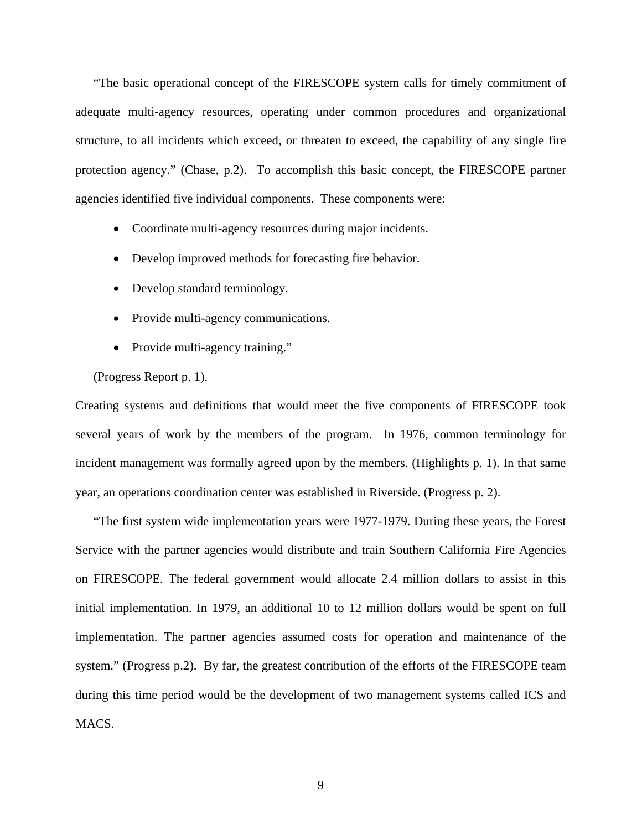"The basic operational concept of the FIRESCOPE system calls for timely commitment of adequate multi-agency resources, operating under common procedures and organizational structure, to all incidents which exceed, or threaten to exceed, the capability of any single fire protection agency." (Chase, p.2). To accomplish this basic concept, the FIRESCOPE partner agencies identified five individual components. These components were:

- Coordinate multi-agency resources during major incidents.
- Develop improved methods for forecasting fire behavior.
- Develop standard terminology.
- Provide multi-agency communications.
- Provide multi-agency training."

(Progress Report p. 1).

Creating systems and definitions that would meet the five components of FIRESCOPE took several years of work by the members of the program. In 1976, common terminology for incident management was formally agreed upon by the members. (Highlights p. 1). In that same year, an operations coordination center was established in Riverside. (Progress p. 2).

"The first system wide implementation years were 1977-1979. During these years, the Forest Service with the partner agencies would distribute and train Southern California Fire Agencies on FIRESCOPE. The federal government would allocate 2.4 million dollars to assist in this initial implementation. In 1979, an additional 10 to 12 million dollars would be spent on full implementation. The partner agencies assumed costs for operation and maintenance of the system." (Progress p.2). By far, the greatest contribution of the efforts of the FIRESCOPE team during this time period would be the development of two management systems called ICS and MACS.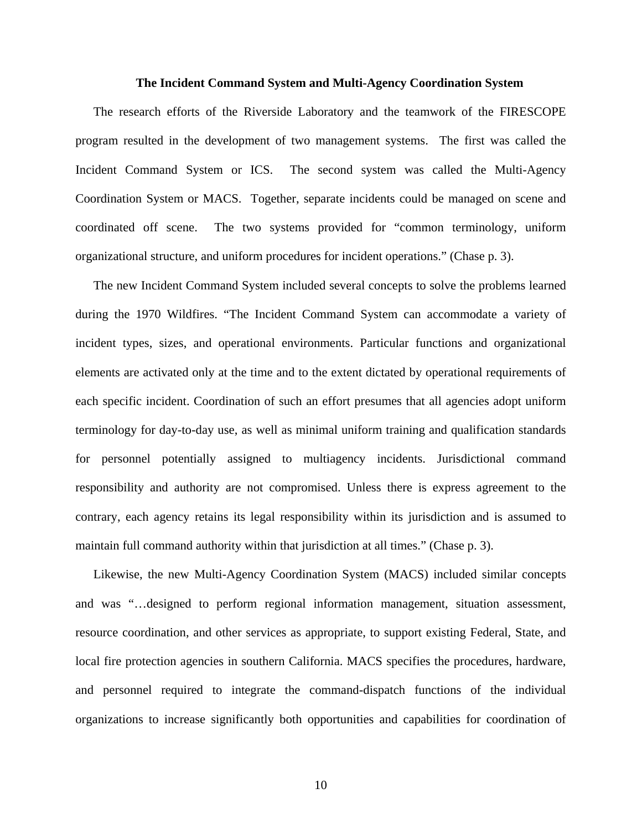#### **The Incident Command System and Multi-Agency Coordination System**

The research efforts of the Riverside Laboratory and the teamwork of the FIRESCOPE program resulted in the development of two management systems. The first was called the Incident Command System or ICS. The second system was called the Multi-Agency Coordination System or MACS. Together, separate incidents could be managed on scene and coordinated off scene. The two systems provided for "common terminology, uniform organizational structure, and uniform procedures for incident operations." (Chase p. 3).

The new Incident Command System included several concepts to solve the problems learned during the 1970 Wildfires. "The Incident Command System can accommodate a variety of incident types, sizes, and operational environments. Particular functions and organizational elements are activated only at the time and to the extent dictated by operational requirements of each specific incident. Coordination of such an effort presumes that all agencies adopt uniform terminology for day-to-day use, as well as minimal uniform training and qualification standards for personnel potentially assigned to multiagency incidents. Jurisdictional command responsibility and authority are not compromised. Unless there is express agreement to the contrary, each agency retains its legal responsibility within its jurisdiction and is assumed to maintain full command authority within that jurisdiction at all times." (Chase p. 3).

Likewise, the new Multi-Agency Coordination System (MACS) included similar concepts and was "…designed to perform regional information management, situation assessment, resource coordination, and other services as appropriate, to support existing Federal, State, and local fire protection agencies in southern California. MACS specifies the procedures, hardware, and personnel required to integrate the command-dispatch functions of the individual organizations to increase significantly both opportunities and capabilities for coordination of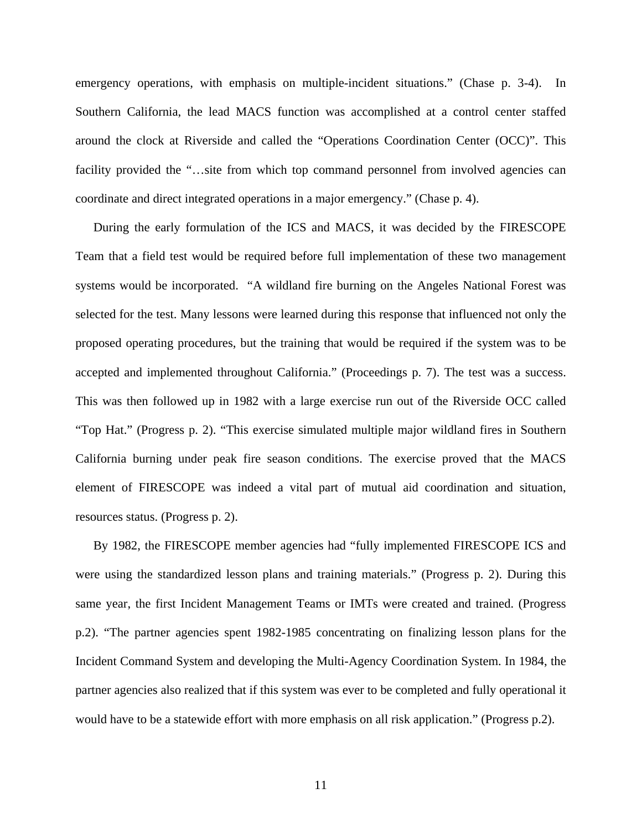emergency operations, with emphasis on multiple-incident situations." (Chase p. 3-4). In Southern California, the lead MACS function was accomplished at a control center staffed around the clock at Riverside and called the "Operations Coordination Center (OCC)". This facility provided the "...site from which top command personnel from involved agencies can coordinate and direct integrated operations in a major emergency." (Chase p. 4).

During the early formulation of the ICS and MACS, it was decided by the FIRESCOPE Team that a field test would be required before full implementation of these two management systems would be incorporated. "A wildland fire burning on the Angeles National Forest was selected for the test. Many lessons were learned during this response that influenced not only the proposed operating procedures, but the training that would be required if the system was to be accepted and implemented throughout California." (Proceedings p. 7). The test was a success. This was then followed up in 1982 with a large exercise run out of the Riverside OCC called "Top Hat." (Progress p. 2). "This exercise simulated multiple major wildland fires in Southern California burning under peak fire season conditions. The exercise proved that the MACS element of FIRESCOPE was indeed a vital part of mutual aid coordination and situation, resources status. (Progress p. 2).

By 1982, the FIRESCOPE member agencies had "fully implemented FIRESCOPE ICS and were using the standardized lesson plans and training materials." (Progress p. 2). During this same year, the first Incident Management Teams or IMTs were created and trained. (Progress p.2). "The partner agencies spent 1982-1985 concentrating on finalizing lesson plans for the Incident Command System and developing the Multi-Agency Coordination System. In 1984, the partner agencies also realized that if this system was ever to be completed and fully operational it would have to be a statewide effort with more emphasis on all risk application." (Progress p.2).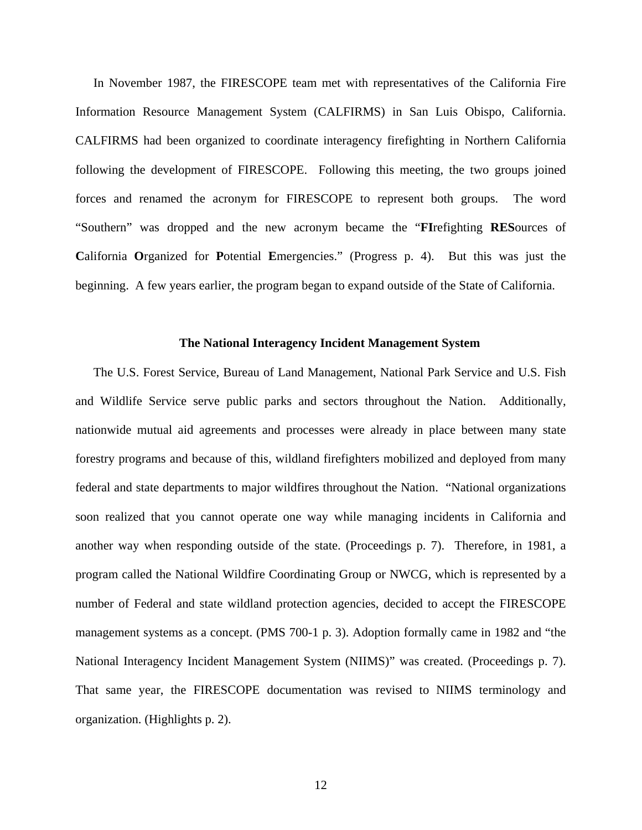In November 1987, the FIRESCOPE team met with representatives of the California Fire Information Resource Management System (CALFIRMS) in San Luis Obispo, California. CALFIRMS had been organized to coordinate interagency firefighting in Northern California following the development of FIRESCOPE. Following this meeting, the two groups joined forces and renamed the acronym for FIRESCOPE to represent both groups. The word "Southern" was dropped and the new acronym became the "**FI**refighting **RES**ources of **C**alifornia **O**rganized for **P**otential **E**mergencies." (Progress p. 4). But this was just the beginning. A few years earlier, the program began to expand outside of the State of California.

## **The National Interagency Incident Management System**

The U.S. Forest Service, Bureau of Land Management, National Park Service and U.S. Fish and Wildlife Service serve public parks and sectors throughout the Nation. Additionally, nationwide mutual aid agreements and processes were already in place between many state forestry programs and because of this, wildland firefighters mobilized and deployed from many federal and state departments to major wildfires throughout the Nation. "National organizations soon realized that you cannot operate one way while managing incidents in California and another way when responding outside of the state. (Proceedings p. 7). Therefore, in 1981, a program called the National Wildfire Coordinating Group or NWCG, which is represented by a number of Federal and state wildland protection agencies, decided to accept the FIRESCOPE management systems as a concept. (PMS 700-1 p. 3). Adoption formally came in 1982 and "the National Interagency Incident Management System (NIIMS)" was created. (Proceedings p. 7). That same year, the FIRESCOPE documentation was revised to NIIMS terminology and organization. (Highlights p. 2).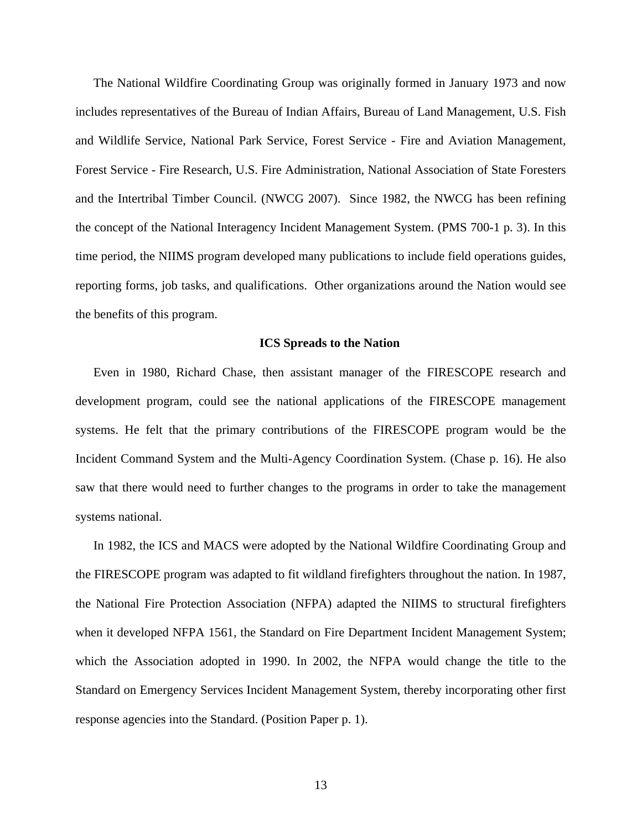The National Wildfire Coordinating Group was originally formed in January 1973 and now includes representatives of the Bureau of Indian Affairs, Bureau of Land Management, U.S. Fish and Wildlife Service, National Park Service, Forest Service - Fire and Aviation Management, Forest Service - Fire Research, U.S. Fire Administration, National Association of State Foresters and the Intertribal Timber Council. (NWCG 2007). Since 1982, the NWCG has been refining the concept of the National Interagency Incident Management System. (PMS 700-1 p. 3). In this time period, the NIIMS program developed many publications to include field operations guides, reporting forms, job tasks, and qualifications. Other organizations around the Nation would see the benefits of this program.

### **ICS Spreads to the Nation**

Even in 1980, Richard Chase, then assistant manager of the FIRESCOPE research and development program, could see the national applications of the FIRESCOPE management systems. He felt that the primary contributions of the FIRESCOPE program would be the Incident Command System and the Multi-Agency Coordination System. (Chase p. 16). He also saw that there would need to further changes to the programs in order to take the management systems national.

In 1982, the ICS and MACS were adopted by the National Wildfire Coordinating Group and the FIRESCOPE program was adapted to fit wildland firefighters throughout the nation. In 1987, the National Fire Protection Association (NFPA) adapted the NIIMS to structural firefighters when it developed NFPA 1561, the Standard on Fire Department Incident Management System; which the Association adopted in 1990. In 2002, the NFPA would change the title to the Standard on Emergency Services Incident Management System, thereby incorporating other first response agencies into the Standard. (Position Paper p. 1).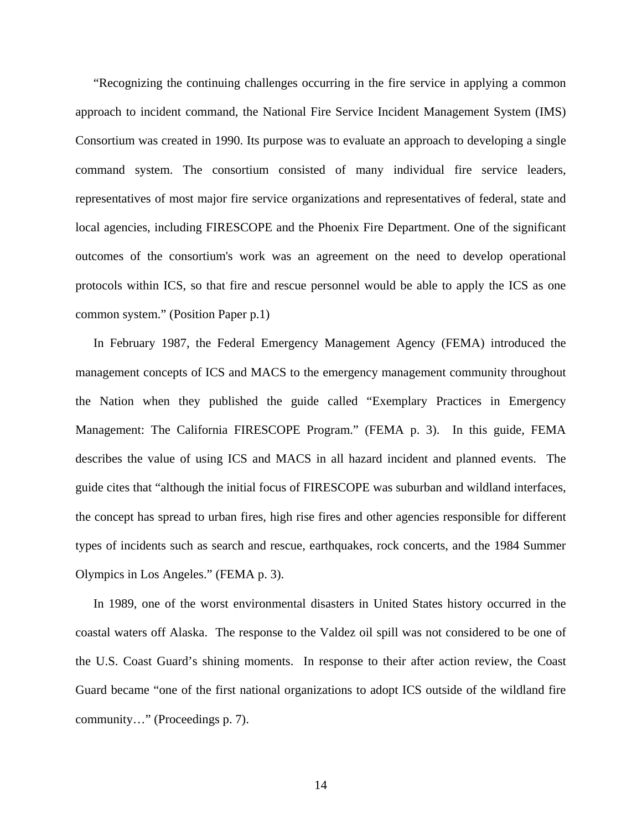"Recognizing the continuing challenges occurring in the fire service in applying a common approach to incident command, the National Fire Service Incident Management System (IMS) Consortium was created in 1990. Its purpose was to evaluate an approach to developing a single command system. The consortium consisted of many individual fire service leaders, representatives of most major fire service organizations and representatives of federal, state and local agencies, including FIRESCOPE and the Phoenix Fire Department. One of the significant outcomes of the consortium's work was an agreement on the need to develop operational protocols within ICS, so that fire and rescue personnel would be able to apply the ICS as one common system." (Position Paper p.1)

In February 1987, the Federal Emergency Management Agency (FEMA) introduced the management concepts of ICS and MACS to the emergency management community throughout the Nation when they published the guide called "Exemplary Practices in Emergency Management: The California FIRESCOPE Program." (FEMA p. 3). In this guide, FEMA describes the value of using ICS and MACS in all hazard incident and planned events. The guide cites that "although the initial focus of FIRESCOPE was suburban and wildland interfaces, the concept has spread to urban fires, high rise fires and other agencies responsible for different types of incidents such as search and rescue, earthquakes, rock concerts, and the 1984 Summer Olympics in Los Angeles." (FEMA p. 3).

In 1989, one of the worst environmental disasters in United States history occurred in the coastal waters off Alaska. The response to the Valdez oil spill was not considered to be one of the U.S. Coast Guard's shining moments. In response to their after action review, the Coast Guard became "one of the first national organizations to adopt ICS outside of the wildland fire community…" (Proceedings p. 7).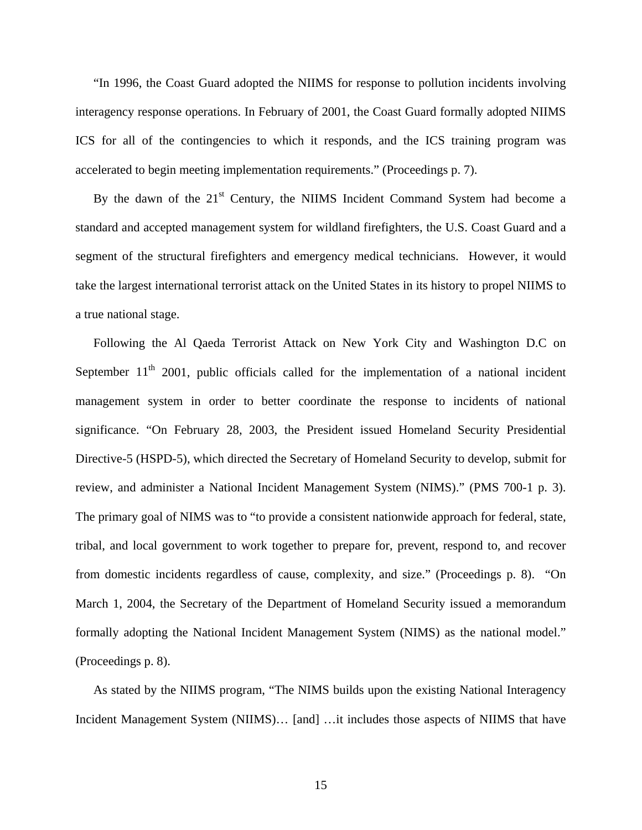"In 1996, the Coast Guard adopted the NIIMS for response to pollution incidents involving interagency response operations. In February of 2001, the Coast Guard formally adopted NIIMS ICS for all of the contingencies to which it responds, and the ICS training program was accelerated to begin meeting implementation requirements." (Proceedings p. 7).

By the dawn of the  $21<sup>st</sup>$  Century, the NIIMS Incident Command System had become a standard and accepted management system for wildland firefighters, the U.S. Coast Guard and a segment of the structural firefighters and emergency medical technicians. However, it would take the largest international terrorist attack on the United States in its history to propel NIIMS to a true national stage.

Following the Al Qaeda Terrorist Attack on New York City and Washington D.C on September  $11<sup>th</sup>$  2001, public officials called for the implementation of a national incident management system in order to better coordinate the response to incidents of national significance. "On February 28, 2003, the President issued Homeland Security Presidential Directive-5 (HSPD-5), which directed the Secretary of Homeland Security to develop, submit for review, and administer a National Incident Management System (NIMS)." (PMS 700-1 p. 3). The primary goal of NIMS was to "to provide a consistent nationwide approach for federal, state, tribal, and local government to work together to prepare for, prevent, respond to, and recover from domestic incidents regardless of cause, complexity, and size." (Proceedings p. 8). "On March 1, 2004, the Secretary of the Department of Homeland Security issued a memorandum formally adopting the National Incident Management System (NIMS) as the national model." (Proceedings p. 8).

As stated by the NIIMS program, "The NIMS builds upon the existing National Interagency Incident Management System (NIIMS)… [and] …it includes those aspects of NIIMS that have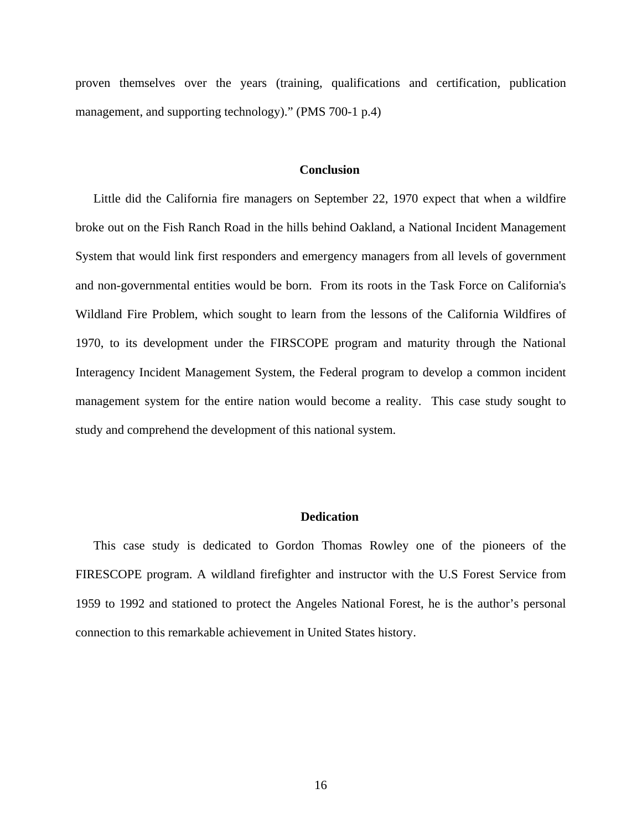proven themselves over the years (training, qualifications and certification, publication management, and supporting technology)." (PMS 700-1 p.4)

# **Conclusion**

Little did the California fire managers on September 22, 1970 expect that when a wildfire broke out on the Fish Ranch Road in the hills behind Oakland, a National Incident Management System that would link first responders and emergency managers from all levels of government and non-governmental entities would be born. From its roots in the Task Force on California's Wildland Fire Problem, which sought to learn from the lessons of the California Wildfires of 1970, to its development under the FIRSCOPE program and maturity through the National Interagency Incident Management System, the Federal program to develop a common incident management system for the entire nation would become a reality. This case study sought to study and comprehend the development of this national system.

## **Dedication**

This case study is dedicated to Gordon Thomas Rowley one of the pioneers of the FIRESCOPE program. A wildland firefighter and instructor with the U.S Forest Service from 1959 to 1992 and stationed to protect the Angeles National Forest, he is the author's personal connection to this remarkable achievement in United States history.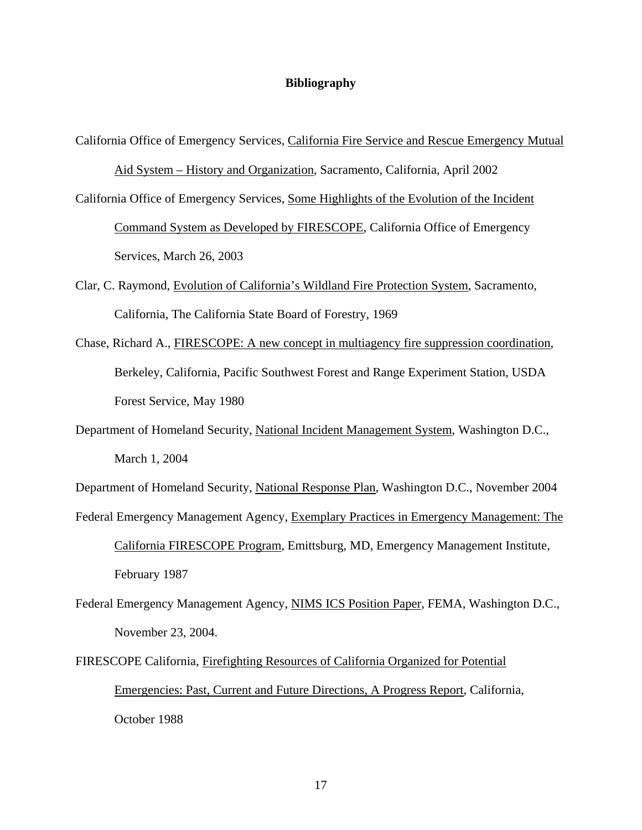## **Bibliography**

California Office of Emergency Services, California Fire Service and Rescue Emergency Mutual

Aid System – History and Organization, Sacramento, California, April 2002

California Office of Emergency Services, Some Highlights of the Evolution of the Incident

Command System as Developed by FIRESCOPE, California Office of Emergency Services, March 26, 2003

- Clar, C. Raymond, Evolution of California's Wildland Fire Protection System, Sacramento, California, The California State Board of Forestry, 1969
- Chase, Richard A., FIRESCOPE: A new concept in multiagency fire suppression coordination, Berkeley, California, Pacific Southwest Forest and Range Experiment Station, USDA Forest Service, May 1980
- Department of Homeland Security, National Incident Management System, Washington D.C., March 1, 2004

Department of Homeland Security, National Response Plan, Washington D.C., November 2004

- Federal Emergency Management Agency, Exemplary Practices in Emergency Management: The California FIRESCOPE Program, Emittsburg, MD, Emergency Management Institute, February 1987
- Federal Emergency Management Agency, NIMS ICS Position Paper, FEMA, Washington D.C., November 23, 2004.
- FIRESCOPE California, Firefighting Resources of California Organized for Potential Emergencies: Past, Current and Future Directions, A Progress Report, California, October 1988